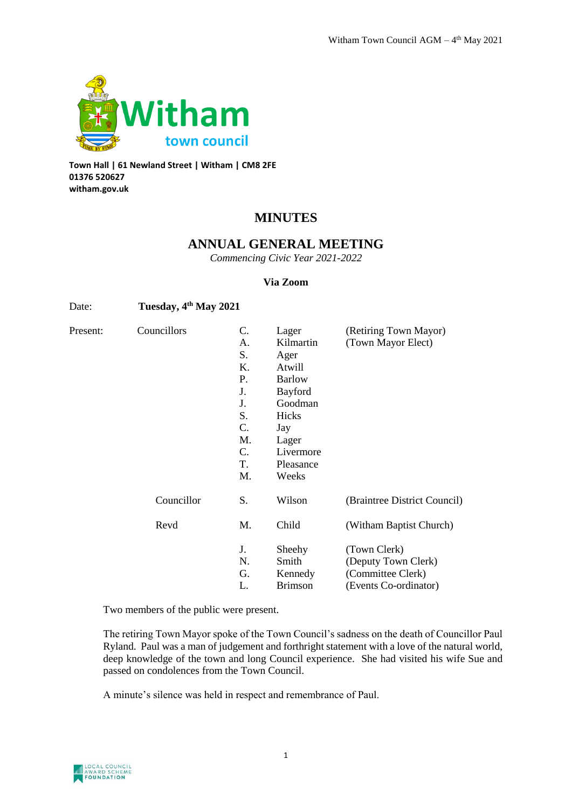

**Town Hall | 61 Newland Street | Witham | CM8 2FE 01376 520627 witham.gov.uk**

# **MINUTES**

## **ANNUAL GENERAL MEETING**

*Commencing Civic Year 2021-2022*

#### **Via Zoom**

## Date: **Tuesday, 4th May 2021**

| Present: | Councillors | C. | Lager          | (Retiring Town Mayor)        |
|----------|-------------|----|----------------|------------------------------|
|          |             | A. | Kilmartin      | (Town Mayor Elect)           |
|          |             | S. | Ager           |                              |
|          |             | Κ. | Atwill         |                              |
|          |             | P. | <b>Barlow</b>  |                              |
|          |             | J. | Bayford        |                              |
|          |             | J. | Goodman        |                              |
|          |             | S. | Hicks          |                              |
|          |             | C. | Jay            |                              |
|          |             | M. | Lager          |                              |
|          |             | C. | Livermore      |                              |
|          |             | T. | Pleasance      |                              |
|          |             | M. | Weeks          |                              |
|          | Councillor  | S. | Wilson         | (Braintree District Council) |
|          | Revd        | M. | Child          | (Witham Baptist Church)      |
|          |             | J. | Sheehy         | (Town Clerk)                 |
|          |             | N. | Smith          | (Deputy Town Clerk)          |
|          |             | G. | Kennedy        | (Committee Clerk)            |
|          |             | L. | <b>Brimson</b> | (Events Co-ordinator)        |
|          |             |    |                |                              |

Two members of the public were present.

The retiring Town Mayor spoke of the Town Council's sadness on the death of Councillor Paul Ryland. Paul was a man of judgement and forthright statement with a love of the natural world, deep knowledge of the town and long Council experience. She had visited his wife Sue and passed on condolences from the Town Council.

A minute's silence was held in respect and remembrance of Paul.

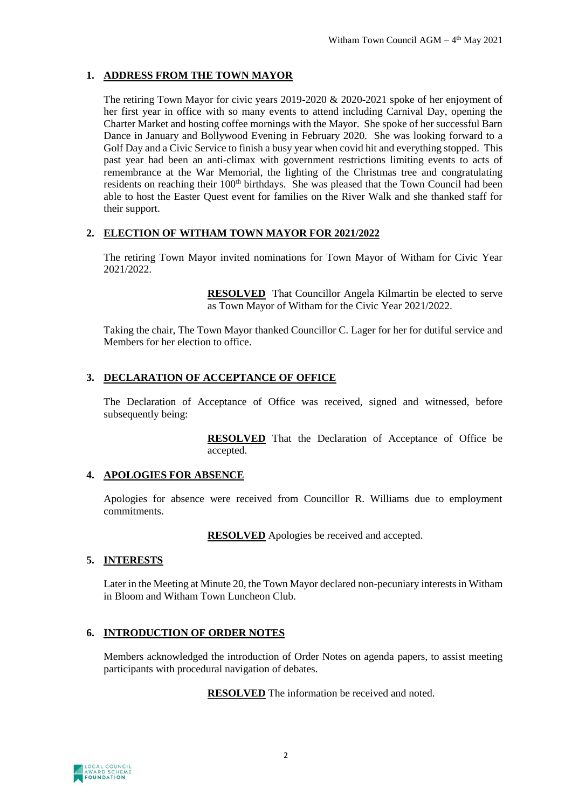## **1. ADDRESS FROM THE TOWN MAYOR**

The retiring Town Mayor for civic years 2019-2020 & 2020-2021 spoke of her enjoyment of her first year in office with so many events to attend including Carnival Day, opening the Charter Market and hosting coffee mornings with the Mayor. She spoke of her successful Barn Dance in January and Bollywood Evening in February 2020. She was looking forward to a Golf Day and a Civic Service to finish a busy year when covid hit and everything stopped. This past year had been an anti-climax with government restrictions limiting events to acts of remembrance at the War Memorial, the lighting of the Christmas tree and congratulating residents on reaching their 100<sup>th</sup> birthdays. She was pleased that the Town Council had been able to host the Easter Quest event for families on the River Walk and she thanked staff for their support.

## **2. ELECTION OF WITHAM TOWN MAYOR FOR 2021/2022**

The retiring Town Mayor invited nominations for Town Mayor of Witham for Civic Year 2021/2022.

> **RESOLVED** That Councillor Angela Kilmartin be elected to serve as Town Mayor of Witham for the Civic Year 2021/2022.

Taking the chair, The Town Mayor thanked Councillor C. Lager for her for dutiful service and Members for her election to office.

#### **3. DECLARATION OF ACCEPTANCE OF OFFICE**

The Declaration of Acceptance of Office was received, signed and witnessed, before subsequently being:

> **RESOLVED** That the Declaration of Acceptance of Office be accepted.

## **4. APOLOGIES FOR ABSENCE**

Apologies for absence were received from Councillor R. Williams due to employment commitments.

**RESOLVED** Apologies be received and accepted.

#### **5. INTERESTS**

Later in the Meeting at Minute 20, the Town Mayor declared non-pecuniary interests in Witham in Bloom and Witham Town Luncheon Club.

## **6. INTRODUCTION OF ORDER NOTES**

Members acknowledged the introduction of Order Notes on agenda papers, to assist meeting participants with procedural navigation of debates.

**RESOLVED** The information be received and noted.

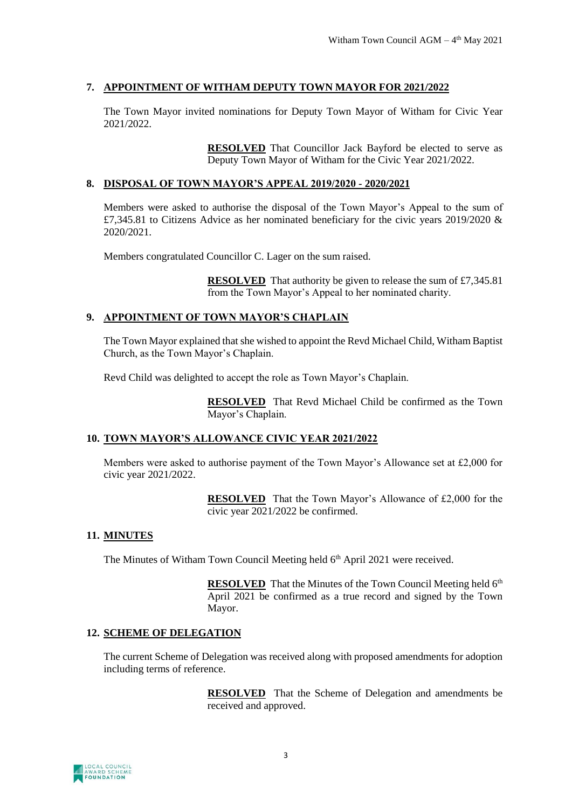## **7. APPOINTMENT OF WITHAM DEPUTY TOWN MAYOR FOR 2021/2022**

The Town Mayor invited nominations for Deputy Town Mayor of Witham for Civic Year 2021/2022.

> **RESOLVED** That Councillor Jack Bayford be elected to serve as Deputy Town Mayor of Witham for the Civic Year 2021/2022.

#### **8. DISPOSAL OF TOWN MAYOR'S APPEAL 2019/2020 - 2020/2021**

Members were asked to authorise the disposal of the Town Mayor's Appeal to the sum of £7,345.81 to Citizens Advice as her nominated beneficiary for the civic years 2019/2020 & 2020/2021.

Members congratulated Councillor C. Lager on the sum raised.

**RESOLVED** That authority be given to release the sum of £7,345.81 from the Town Mayor's Appeal to her nominated charity.

#### **9. APPOINTMENT OF TOWN MAYOR'S CHAPLAIN**

The Town Mayor explained that she wished to appoint the Revd Michael Child, Witham Baptist Church, as the Town Mayor's Chaplain.

Revd Child was delighted to accept the role as Town Mayor's Chaplain.

**RESOLVED** That Revd Michael Child be confirmed as the Town Mayor's Chaplain.

## **10. TOWN MAYOR'S ALLOWANCE CIVIC YEAR 2021/2022**

Members were asked to authorise payment of the Town Mayor's Allowance set at £2,000 for civic year 2021/2022.

> **RESOLVED** That the Town Mayor's Allowance of £2,000 for the civic year 2021/2022 be confirmed.

#### **11. MINUTES**

The Minutes of Witham Town Council Meeting held 6<sup>th</sup> April 2021 were received.

**RESOLVED** That the Minutes of the Town Council Meeting held 6<sup>th</sup> April 2021 be confirmed as a true record and signed by the Town Mayor.

#### **12. SCHEME OF DELEGATION**

The current Scheme of Delegation was received along with proposed amendments for adoption including terms of reference.

> **RESOLVED** That the Scheme of Delegation and amendments be received and approved.

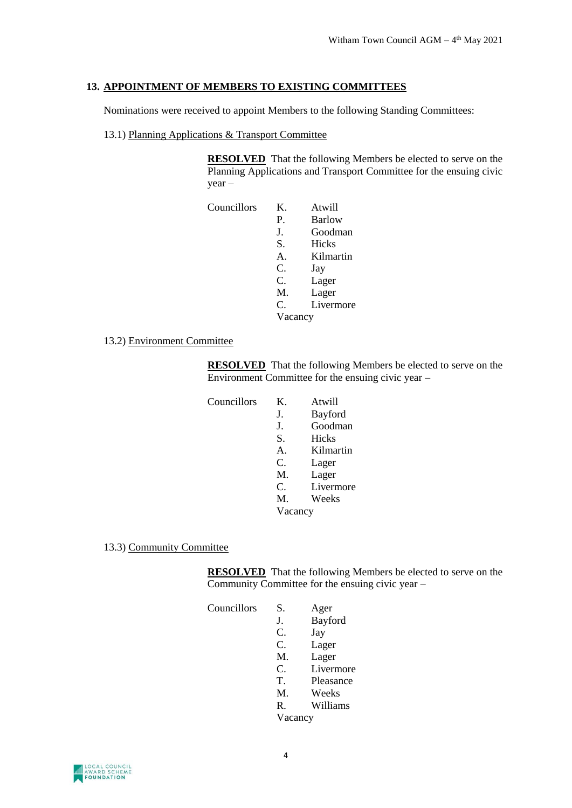## **13. APPOINTMENT OF MEMBERS TO EXISTING COMMITTEES**

Nominations were received to appoint Members to the following Standing Committees:

13.1) Planning Applications & Transport Committee

**RESOLVED** That the following Members be elected to serve on the Planning Applications and Transport Committee for the ensuing civic year –

| Councillors | Κ.      | Atwill    |
|-------------|---------|-----------|
|             | P.      | Barlow    |
|             | J.      | Goodman   |
|             | S.      | Hicks     |
|             | A.      | Kilmartin |
|             | C.      | Jay       |
|             | C.      | Lager     |
|             | M.      | Lager     |
|             | C.      | Livermore |
|             | Vacancy |           |

13.2) Environment Committee

**RESOLVED** That the following Members be elected to serve on the Environment Committee for the ensuing civic year –

| Councillors | Κ.              | Atwill       |
|-------------|-----------------|--------------|
|             | J.              | Bayford      |
|             | J.              | Goodman      |
|             | S.              | <b>Hicks</b> |
|             | $\mathsf{A}$ .  | Kilmartin    |
|             | C.              | Lager        |
|             | M.              | Lager        |
|             | $\mathcal{C}$ . | Livermore    |
|             | M.              | Weeks        |
|             | Vacancy         |              |

13.3) Community Committee

**RESOLVED** That the following Members be elected to serve on the Community Committee for the ensuing civic year –

| Councillors | S.      | Ager      |
|-------------|---------|-----------|
|             | J.      | Bayford   |
|             | C.      | Jay       |
|             | C.      | Lager     |
|             | M.      | Lager     |
|             | C.      | Livermore |
|             | T.      | Pleasance |
|             | M.      | Weeks     |
|             | R.      | Williams  |
|             | Vacancy |           |

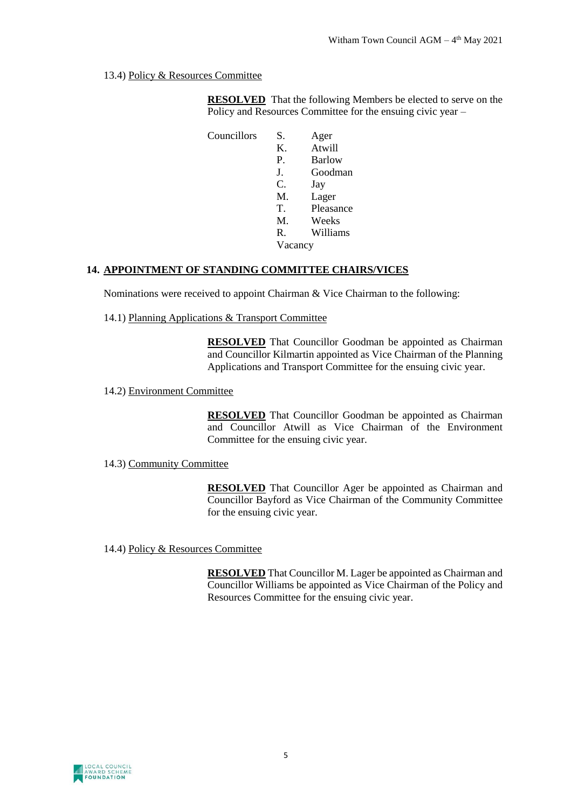13.4) Policy & Resources Committee

**RESOLVED** That the following Members be elected to serve on the Policy and Resources Committee for the ensuing civic year –

Councillors S. Ager K. Atwill P. Barlow J. Goodman C. Jay M. Lager T. Pleasance M. Weeks R. Williams Vacancy

## **14. APPOINTMENT OF STANDING COMMITTEE CHAIRS/VICES**

Nominations were received to appoint Chairman & Vice Chairman to the following:

14.1) Planning Applications & Transport Committee

**RESOLVED** That Councillor Goodman be appointed as Chairman and Councillor Kilmartin appointed as Vice Chairman of the Planning Applications and Transport Committee for the ensuing civic year.

#### 14.2) Environment Committee

**RESOLVED** That Councillor Goodman be appointed as Chairman and Councillor Atwill as Vice Chairman of the Environment Committee for the ensuing civic year.

#### 14.3) Community Committee

**RESOLVED** That Councillor Ager be appointed as Chairman and Councillor Bayford as Vice Chairman of the Community Committee for the ensuing civic year.

14.4) Policy & Resources Committee

**RESOLVED** That Councillor M. Lager be appointed as Chairman and Councillor Williams be appointed as Vice Chairman of the Policy and Resources Committee for the ensuing civic year.

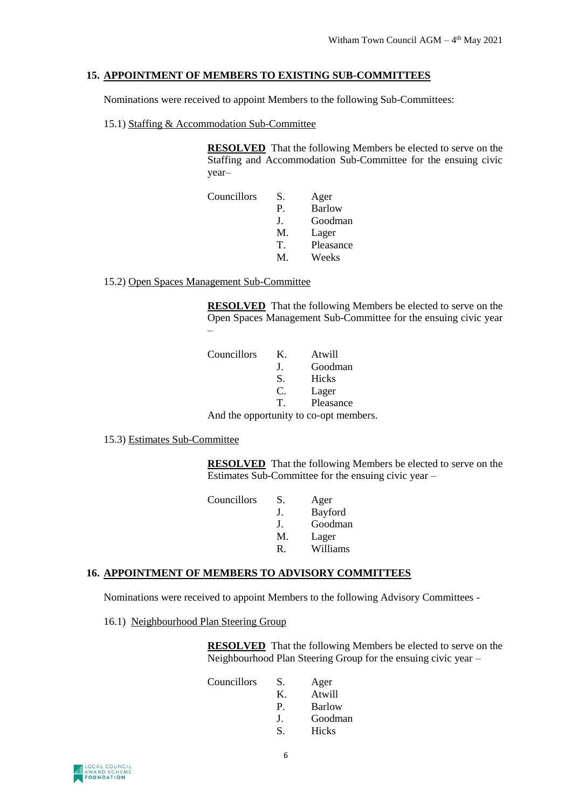#### **15. APPOINTMENT OF MEMBERS TO EXISTING SUB-COMMITTEES**

Nominations were received to appoint Members to the following Sub-Committees:

15.1) Staffing & Accommodation Sub-Committee

**RESOLVED** That the following Members be elected to serve on the Staffing and Accommodation Sub-Committee for the ensuing civic year–

| Councillors | S.        | Ager          |
|-------------|-----------|---------------|
|             | P.        | <b>Barlow</b> |
|             | $\bf J$ . | Goodman       |
|             | M.        | Lager         |
|             | T         | Pleasance     |
|             | M         | Weeks         |

15.2) Open Spaces Management Sub-Committee

**RESOLVED** That the following Members be elected to serve on the Open Spaces Management Sub-Committee for the ensuing civic year –

| Councillors | K.        | Atwill                                                                                                                                                                                                                                                                                                                                                    |
|-------------|-----------|-----------------------------------------------------------------------------------------------------------------------------------------------------------------------------------------------------------------------------------------------------------------------------------------------------------------------------------------------------------|
|             | $\bf J$ . | Goodman                                                                                                                                                                                                                                                                                                                                                   |
|             | S.        | Hicks                                                                                                                                                                                                                                                                                                                                                     |
|             | C.        | Lager                                                                                                                                                                                                                                                                                                                                                     |
|             | T         | Pleasance                                                                                                                                                                                                                                                                                                                                                 |
|             |           | $\lambda$ and $\lambda$ and $\lambda$ and $\lambda$ and $\lambda$ and $\lambda$ and $\lambda$ and $\lambda$ and $\lambda$ and $\lambda$ and $\lambda$ and $\lambda$ and $\lambda$ and $\lambda$ and $\lambda$ and $\lambda$ and $\lambda$ and $\lambda$ and $\lambda$ and $\lambda$ and $\lambda$ and $\lambda$ and $\lambda$ and $\lambda$ and $\lambda$ |

And the opportunity to co-opt members.

15.3) Estimates Sub-Committee

**RESOLVED** That the following Members be elected to serve on the Estimates Sub-Committee for the ensuing civic year –

| Councillors | S. | Ager     |
|-------------|----|----------|
|             | J. | Bayford  |
|             | J. | Goodman  |
|             | M. | Lager    |
|             | R  | Williams |
|             |    |          |

#### **16. APPOINTMENT OF MEMBERS TO ADVISORY COMMITTEES**

Nominations were received to appoint Members to the following Advisory Committees -

16.1) Neighbourhood Plan Steering Group

**RESOLVED** That the following Members be elected to serve on the Neighbourhood Plan Steering Group for the ensuing civic year –

| Councillors | S.        | Ager          |
|-------------|-----------|---------------|
|             | ĸ.        | Atwill        |
|             | P.        | <b>Barlow</b> |
|             | $\bf J$ . | Goodman       |
|             | S.        | Hicks         |
|             |           |               |

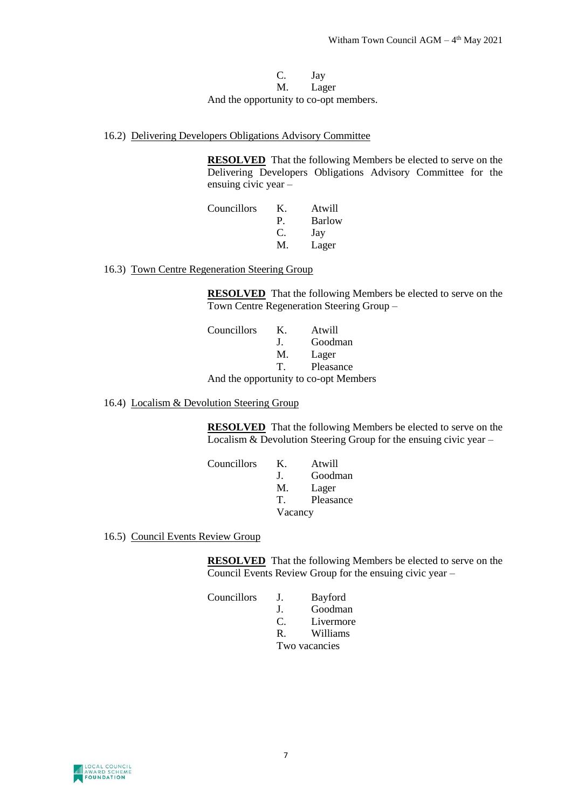#### C. Jay M. Lager And the opportunity to co-opt members.

16.2) Delivering Developers Obligations Advisory Committee

**RESOLVED** That the following Members be elected to serve on the Delivering Developers Obligations Advisory Committee for the ensuing civic year –

| Councillors | K. | Atwill        |
|-------------|----|---------------|
|             | P. | <b>Barlow</b> |
|             | C. | Jay           |
|             | M. | Lager         |

16.3) Town Centre Regeneration Steering Group

**RESOLVED** That the following Members be elected to serve on the Town Centre Regeneration Steering Group –

| Councillors | Κ.           | Atwill                                |
|-------------|--------------|---------------------------------------|
|             | $\mathbf{L}$ | Goodman                               |
|             | M.           | Lager                                 |
|             | T.           | Pleasance                             |
|             |              | And the opportunity to co-opt Members |

16.4) Localism & Devolution Steering Group

**RESOLVED** That the following Members be elected to serve on the Localism & Devolution Steering Group for the ensuing civic year –

| Councillors | Κ.           | Atwill    |
|-------------|--------------|-----------|
|             | $\mathbf{I}$ | Goodman   |
|             | M.           | Lager     |
|             | T            | Pleasance |
|             | Vacancy      |           |

16.5) Council Events Review Group

**RESOLVED** That the following Members be elected to serve on the Council Events Review Group for the ensuing civic year –

| Councillors | J.       | Bayford   |
|-------------|----------|-----------|
|             | л.       | Goodman   |
|             | $\Gamma$ | Livermore |
|             | R        | Williams  |
|             | —        |           |

Two vacancies

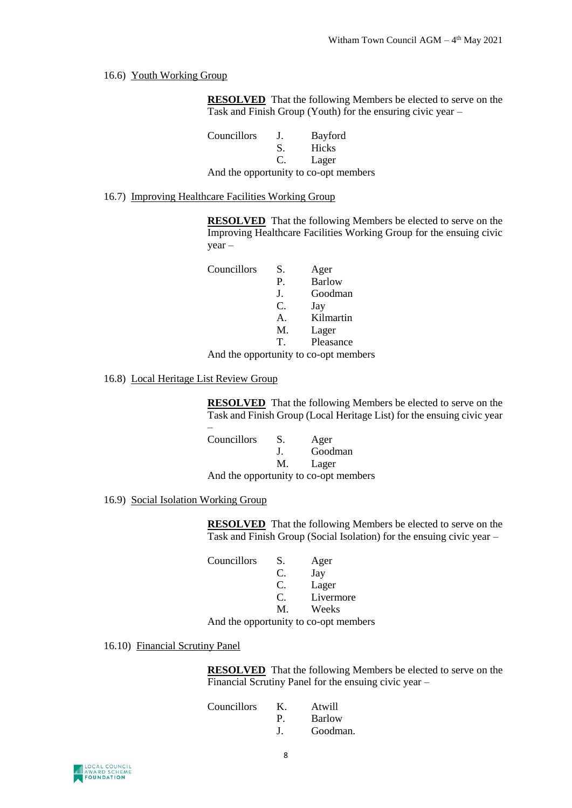#### 16.6) Youth Working Group

**RESOLVED** That the following Members be elected to serve on the Task and Finish Group (Youth) for the ensuring civic year –

Councillors J. Bayford S. Hicks C. Lager And the opportunity to co-opt members

16.7) Improving Healthcare Facilities Working Group

**RESOLVED** That the following Members be elected to serve on the Improving Healthcare Facilities Working Group for the ensuing civic year –

| Councillors | S.             | Ager          |
|-------------|----------------|---------------|
|             | P.             | <b>Barlow</b> |
|             | J.             | Goodman       |
|             | C.             | Jay           |
|             | $\mathsf{A}$ . | Kilmartin     |
|             | M.             | Lager         |
|             | T              | Pleasance     |
|             |                |               |

And the opportunity to co-opt members

16.8) Local Heritage List Review Group

**RESOLVED** That the following Members be elected to serve on the Task and Finish Group (Local Heritage List) for the ensuing civic year

| Councillors | S.           | Ager                                  |
|-------------|--------------|---------------------------------------|
|             | $\mathbf{L}$ | Goodman                               |
|             | M.           | Lager                                 |
|             |              | And the opportunity to co-opt members |

16.9) Social Isolation Working Group

**RESOLVED** That the following Members be elected to serve on the Task and Finish Group (Social Isolation) for the ensuing civic year –

| Councillors | S.            | Ager                                  |
|-------------|---------------|---------------------------------------|
|             | C.            | Jay                                   |
|             | C.            | Lager                                 |
|             | $\mathcal{C}$ | Livermore                             |
|             | M.            | Weeks                                 |
|             |               | And the opportunity to co-opt members |

16.10) Financial Scrutiny Panel

**RESOLVED** That the following Members be elected to serve on the Financial Scrutiny Panel for the ensuing civic year –

| Councillors | Κ. | Atwill   |
|-------------|----|----------|
|             | P  | Barlow   |
|             |    | Goodman. |

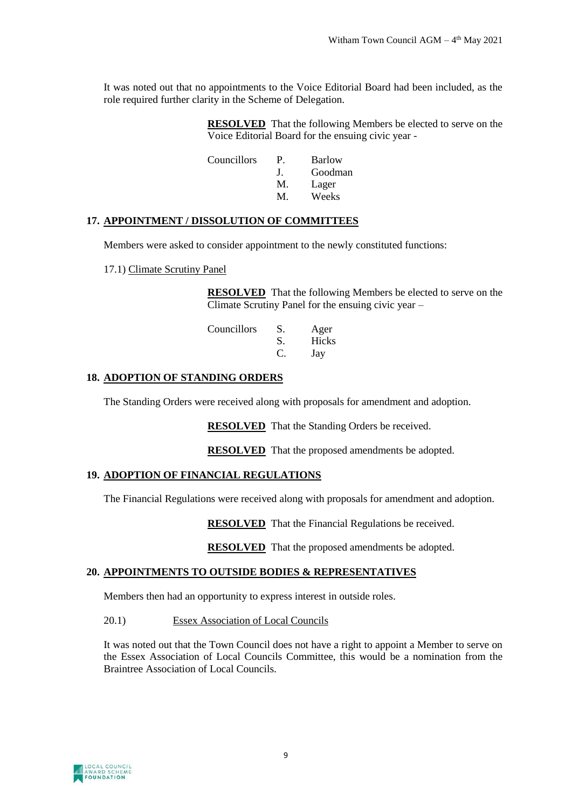It was noted out that no appointments to the Voice Editorial Board had been included, as the role required further clarity in the Scheme of Delegation.

> **RESOLVED** That the following Members be elected to serve on the Voice Editorial Board for the ensuing civic year -

| Councillors | P.        | Barlow  |
|-------------|-----------|---------|
|             | $\bf J$ . | Goodman |
|             | M.        | Lager   |
|             | М         | Weeks   |

#### **17. APPOINTMENT / DISSOLUTION OF COMMITTEES**

Members were asked to consider appointment to the newly constituted functions:

17.1) Climate Scrutiny Panel

**RESOLVED** That the following Members be elected to serve on the Climate Scrutiny Panel for the ensuing civic year –

| Councillors | S. | Ager         |
|-------------|----|--------------|
|             | S. | <b>Hicks</b> |
|             | C. | Jay          |

#### **18. ADOPTION OF STANDING ORDERS**

The Standing Orders were received along with proposals for amendment and adoption.

**RESOLVED** That the Standing Orders be received.

**RESOLVED** That the proposed amendments be adopted.

#### **19. ADOPTION OF FINANCIAL REGULATIONS**

The Financial Regulations were received along with proposals for amendment and adoption.

**RESOLVED** That the Financial Regulations be received.

**RESOLVED** That the proposed amendments be adopted.

#### **20. APPOINTMENTS TO OUTSIDE BODIES & REPRESENTATIVES**

Members then had an opportunity to express interest in outside roles.

#### 20.1) Essex Association of Local Councils

It was noted out that the Town Council does not have a right to appoint a Member to serve on the Essex Association of Local Councils Committee, this would be a nomination from the Braintree Association of Local Councils.

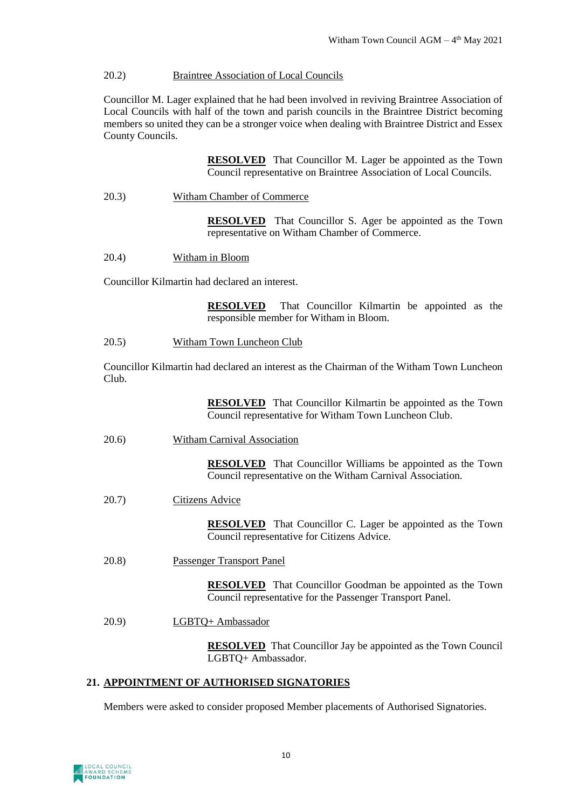#### 20.2) Braintree Association of Local Councils

Councillor M. Lager explained that he had been involved in reviving Braintree Association of Local Councils with half of the town and parish councils in the Braintree District becoming members so united they can be a stronger voice when dealing with Braintree District and Essex County Councils.

> **RESOLVED** That Councillor M. Lager be appointed as the Town Council representative on Braintree Association of Local Councils.

20.3) Witham Chamber of Commerce

**RESOLVED** That Councillor S. Ager be appointed as the Town representative on Witham Chamber of Commerce.

20.4) Witham in Bloom

Councillor Kilmartin had declared an interest.

**RESOLVED** That Councillor Kilmartin be appointed as the responsible member for Witham in Bloom.

20.5) Witham Town Luncheon Club

Councillor Kilmartin had declared an interest as the Chairman of the Witham Town Luncheon Club.

> **RESOLVED** That Councillor Kilmartin be appointed as the Town Council representative for Witham Town Luncheon Club.

20.6) Witham Carnival Association

**RESOLVED** That Councillor Williams be appointed as the Town Council representative on the Witham Carnival Association.

20.7) Citizens Advice

**RESOLVED** That Councillor C. Lager be appointed as the Town Council representative for Citizens Advice.

20.8) Passenger Transport Panel

**RESOLVED** That Councillor Goodman be appointed as the Town Council representative for the Passenger Transport Panel.

20.9) LGBTQ+ Ambassador

**RESOLVED** That Councillor Jay be appointed as the Town Council LGBTQ+ Ambassador.

#### **21. APPOINTMENT OF AUTHORISED SIGNATORIES**

Members were asked to consider proposed Member placements of Authorised Signatories.

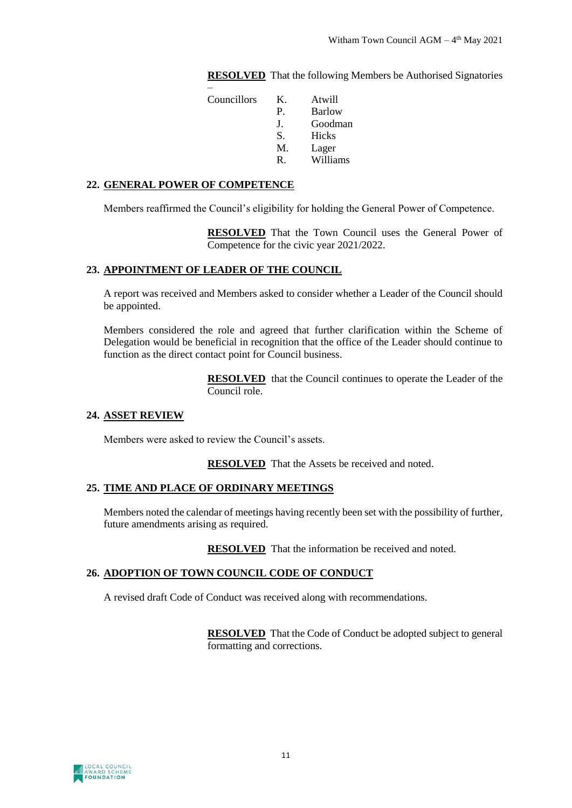**RESOLVED** That the following Members be Authorised Signatories

| Councillors | Κ.          | Atwill        |
|-------------|-------------|---------------|
|             | $P_{\cdot}$ | <b>Barlow</b> |
|             | J.          | Goodman       |
|             | S.          | Hicks         |
|             | M.          | Lager         |
|             | R.          | Williams      |

#### **22. GENERAL POWER OF COMPETENCE**

Members reaffirmed the Council's eligibility for holding the General Power of Competence.

**RESOLVED** That the Town Council uses the General Power of Competence for the civic year 2021/2022.

#### **23. APPOINTMENT OF LEADER OF THE COUNCIL**

A report was received and Members asked to consider whether a Leader of the Council should be appointed.

Members considered the role and agreed that further clarification within the Scheme of Delegation would be beneficial in recognition that the office of the Leader should continue to function as the direct contact point for Council business.

> **RESOLVED** that the Council continues to operate the Leader of the Council role.

#### **24. ASSET REVIEW**

Members were asked to review the Council's assets.

**RESOLVED** That the Assets be received and noted.

#### **25. TIME AND PLACE OF ORDINARY MEETINGS**

Members noted the calendar of meetings having recently been set with the possibility of further, future amendments arising as required.

**RESOLVED** That the information be received and noted.

#### **26. ADOPTION OF TOWN COUNCIL CODE OF CONDUCT**

A revised draft Code of Conduct was received along with recommendations.

**RESOLVED** That the Code of Conduct be adopted subject to general formatting and corrections.

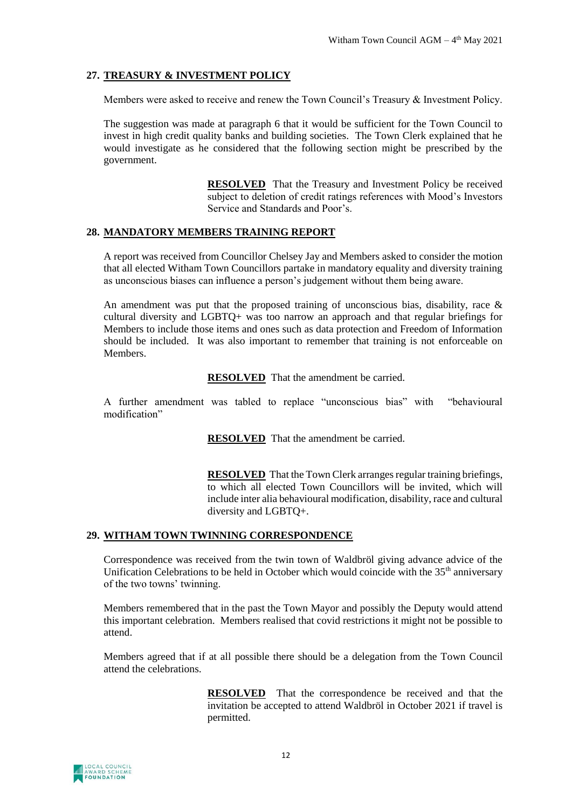## **27. TREASURY & INVESTMENT POLICY**

Members were asked to receive and renew the Town Council's Treasury & Investment Policy.

The suggestion was made at paragraph 6 that it would be sufficient for the Town Council to invest in high credit quality banks and building societies. The Town Clerk explained that he would investigate as he considered that the following section might be prescribed by the government.

> **RESOLVED** That the Treasury and Investment Policy be received subject to deletion of credit ratings references with Mood's Investors Service and Standards and Poor's.

#### **28. MANDATORY MEMBERS TRAINING REPORT**

A report was received from Councillor Chelsey Jay and Members asked to consider the motion that all elected Witham Town Councillors partake in mandatory equality and diversity training as unconscious biases can influence a person's judgement without them being aware.

An amendment was put that the proposed training of unconscious bias, disability, race  $\&$ cultural diversity and LGBTQ+ was too narrow an approach and that regular briefings for Members to include those items and ones such as data protection and Freedom of Information should be included. It was also important to remember that training is not enforceable on **Members** 

**RESOLVED** That the amendment be carried.

A further amendment was tabled to replace "unconscious bias" with "behavioural modification"

**RESOLVED** That the amendment be carried.

**RESOLVED** That the Town Clerk arranges regular training briefings, to which all elected Town Councillors will be invited, which will include inter alia behavioural modification, disability, race and cultural diversity and LGBTQ+.

## **29. WITHAM TOWN TWINNING CORRESPONDENCE**

Correspondence was received from the twin town of Waldbröl giving advance advice of the Unification Celebrations to be held in October which would coincide with the 35<sup>th</sup> anniversary of the two towns' twinning.

Members remembered that in the past the Town Mayor and possibly the Deputy would attend this important celebration. Members realised that covid restrictions it might not be possible to attend.

Members agreed that if at all possible there should be a delegation from the Town Council attend the celebrations.

> **RESOLVED** That the correspondence be received and that the invitation be accepted to attend Waldbröl in October 2021 if travel is permitted.